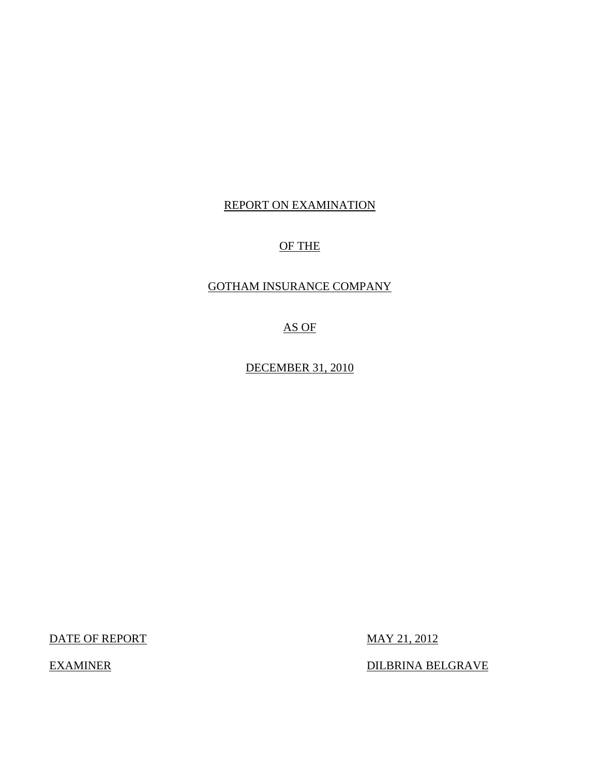# REPORT ON EXAMINATION

# OF THE

# GOTHAM INSURANCE COMPANY

AS OF

DECEMBER 31, 2010

DATE OF REPORT MAY 21, 2012

EXAMINER DILBRINA BELGRAVE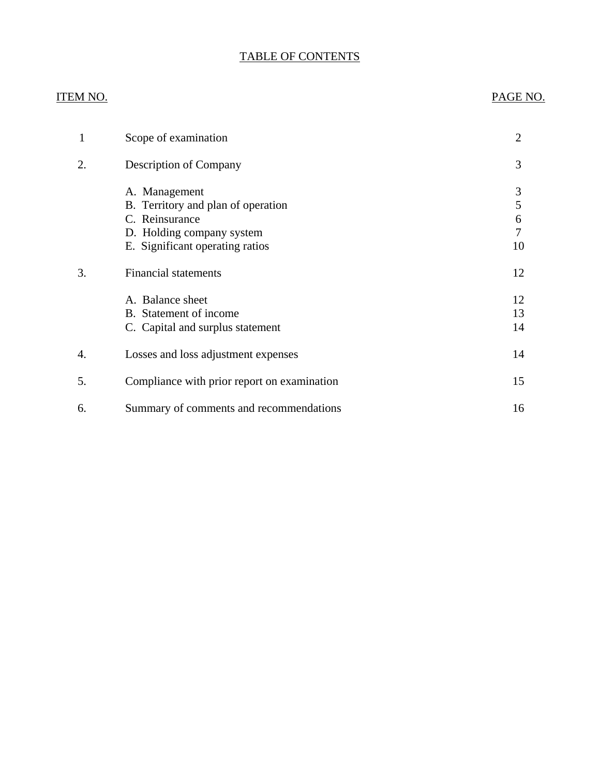# TABLE OF CONTENTS

# ITEM NO. PAGE NO.

| 1  | Scope of examination                                                                                                                  | $\overline{2}$         |
|----|---------------------------------------------------------------------------------------------------------------------------------------|------------------------|
| 2. | <b>Description of Company</b>                                                                                                         | 3                      |
|    | A. Management<br>B. Territory and plan of operation<br>C. Reinsurance<br>D. Holding company system<br>E. Significant operating ratios | 3<br>5<br>6<br>7<br>10 |
| 3. | <b>Financial statements</b>                                                                                                           | 12                     |
|    | A. Balance sheet<br>B. Statement of income<br>C. Capital and surplus statement                                                        | 12<br>13<br>14         |
| 4. | Losses and loss adjustment expenses                                                                                                   | 14                     |
| 5. | Compliance with prior report on examination                                                                                           | 15                     |
| 6. | Summary of comments and recommendations                                                                                               | 16                     |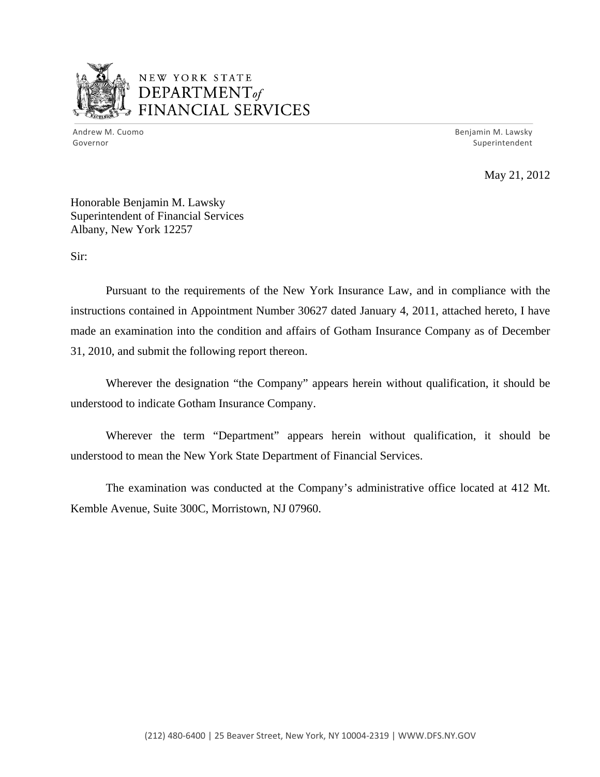

# NEW YORK STATE DEPARTMENTof *~,........,,* FINANCIAL SERVICES

Andrew M. Cuomo **Benjamin M. Lawsky** Governor Superintendent

May 21, 2012

Honorable Benjamin M. Lawsky Superintendent of Financial Services Albany, New York 12257

Sir:

Pursuant to the requirements of the New York Insurance Law, and in compliance with the instructions contained in Appointment Number 30627 dated January 4, 2011, attached hereto, I have made an examination into the condition and affairs of Gotham Insurance Company as of December 31, 2010, and submit the following report thereon.

Wherever the designation "the Company" appears herein without qualification, it should be understood to indicate Gotham Insurance Company.

Wherever the term "Department" appears herein without qualification, it should be understood to mean the New York State Department of Financial Services.

The examination was conducted at the Company's administrative office located at 412 Mt. Kemble Avenue, Suite 300C, Morristown, NJ 07960.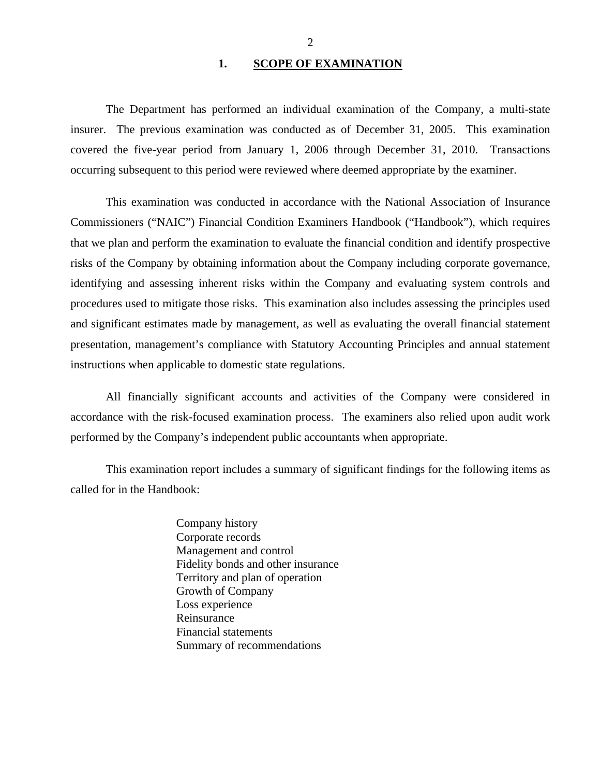#### 1. SCOPE OF EXAMINATION

<span id="page-3-0"></span>The Department has performed an individual examination of the Company*,* a multi-state insurer. The previous examination was conducted as of December 31, 2005. This examination covered the five-year period from January 1, 2006 through December 31, 2010. Transactions occurring subsequent to this period were reviewed where deemed appropriate by the examiner.

This examination was conducted in accordance with the National Association of Insurance Commissioners ("NAIC") Financial Condition Examiners Handbook ("Handbook"), which requires that we plan and perform the examination to evaluate the financial condition and identify prospective risks of the Company by obtaining information about the Company including corporate governance, identifying and assessing inherent risks within the Company and evaluating system controls and procedures used to mitigate those risks. This examination also includes assessing the principles used and significant estimates made by management, as well as evaluating the overall financial statement presentation, management's compliance with Statutory Accounting Principles and annual statement instructions when applicable to domestic state regulations.

All financially significant accounts and activities of the Company were considered in accordance with the risk-focused examination process. The examiners also relied upon audit work performed by the Company's independent public accountants when appropriate.

This examination report includes a summary of significant findings for the following items as called for in the Handbook:

> Company history Corporate records Management and control Fidelity bonds and other insurance Territory and plan of operation Growth of Company Loss experience Reinsurance Financial statements Summary of recommendations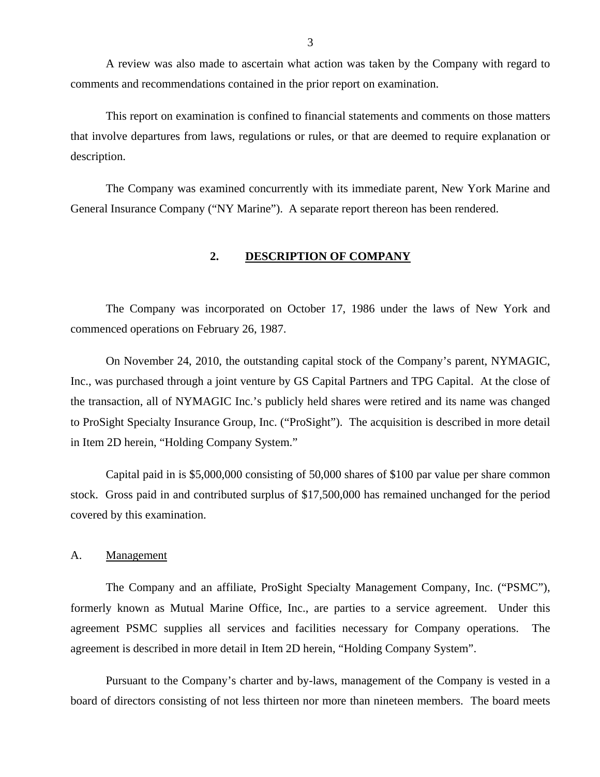<span id="page-4-0"></span>A review was also made to ascertain what action was taken by the Company with regard to comments and recommendations contained in the prior report on examination.

This report on examination is confined to financial statements and comments on those matters that involve departures from laws, regulations or rules, or that are deemed to require explanation or description.

The Company was examined concurrently with its immediate parent, New York Marine and General Insurance Company ("NY Marine"). A separate report thereon has been rendered.

#### **2. DESCRIPTION OF COMPANY**

The Company was incorporated on October 17, 1986 under the laws of New York and commenced operations on February 26, 1987.

On November 24, 2010, the outstanding capital stock of the Company's parent, NYMAGIC, Inc., was purchased through a joint venture by GS Capital Partners and TPG Capital. At the close of the transaction, all of NYMAGIC Inc.'s publicly held shares were retired and its name was changed to ProSight Specialty Insurance Group, Inc. ("ProSight"). The acquisition is described in more detail in Item 2D herein, "Holding Company System."

Capital paid in is \$5,000,000 consisting of 50,000 shares of \$100 par value per share common stock. Gross paid in and contributed surplus of \$17,500,000 has remained unchanged for the period covered by this examination.

A. Management

The Company and an affiliate, ProSight Specialty Management Company, Inc. ("PSMC"), formerly known as Mutual Marine Office, Inc., are parties to a service agreement. Under this agreement PSMC supplies all services and facilities necessary for Company operations. The agreement is described in more detail in Item 2D herein, "Holding Company System".

Pursuant to the Company's charter and by-laws, management of the Company is vested in a board of directors consisting of not less thirteen nor more than nineteen members. The board meets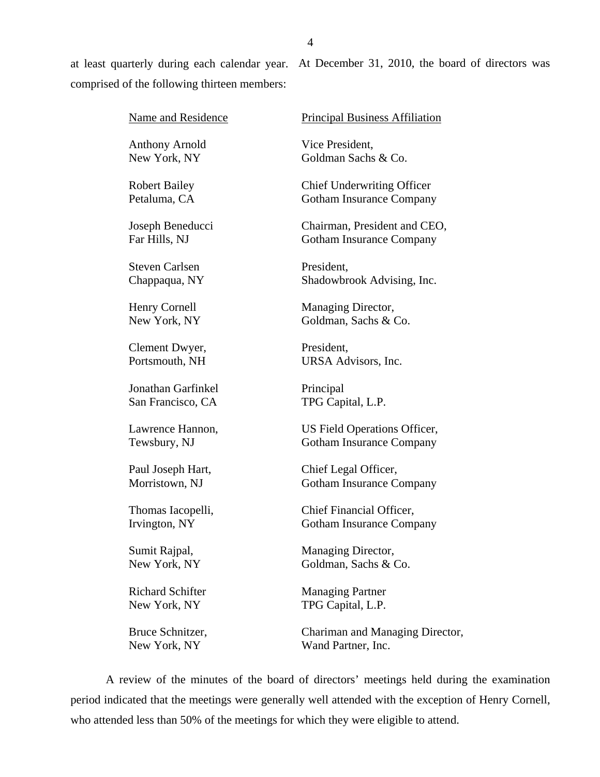at least quarterly during each calendar year. At December 31, 2010, the board of directors was comprised of the following thirteen members:

| Name and Residence      | <b>Principal Business Affiliation</b> |
|-------------------------|---------------------------------------|
| <b>Anthony Arnold</b>   | Vice President,                       |
| New York, NY            | Goldman Sachs & Co.                   |
| <b>Robert Bailey</b>    | <b>Chief Underwriting Officer</b>     |
| Petaluma, CA            | <b>Gotham Insurance Company</b>       |
| Joseph Beneducci        | Chairman, President and CEO,          |
| Far Hills, NJ           | <b>Gotham Insurance Company</b>       |
| <b>Steven Carlsen</b>   | President,                            |
| Chappaqua, NY           | Shadowbrook Advising, Inc.            |
| Henry Cornell           | Managing Director,                    |
| New York, NY            | Goldman, Sachs & Co.                  |
| Clement Dwyer,          | President,                            |
| Portsmouth, NH          | URSA Advisors, Inc.                   |
| Jonathan Garfinkel      | Principal                             |
| San Francisco, CA       | TPG Capital, L.P.                     |
| Lawrence Hannon,        | US Field Operations Officer,          |
| Tewsbury, NJ            | <b>Gotham Insurance Company</b>       |
| Paul Joseph Hart,       | Chief Legal Officer,                  |
| Morristown, NJ          | <b>Gotham Insurance Company</b>       |
| Thomas Iacopelli,       | Chief Financial Officer,              |
| Irvington, NY           | <b>Gotham Insurance Company</b>       |
| Sumit Rajpal,           | Managing Director,                    |
| New York, NY            | Goldman, Sachs & Co.                  |
| <b>Richard Schifter</b> | <b>Managing Partner</b>               |
| New York, NY            | TPG Capital, L.P.                     |
| Bruce Schnitzer,        | Chariman and Managing Director,       |
| New York, NY            | Wand Partner, Inc.                    |

A review of the minutes of the board of directors' meetings held during the examination period indicated that the meetings were generally well attended with the exception of Henry Cornell, who attended less than 50% of the meetings for which they were eligible to attend.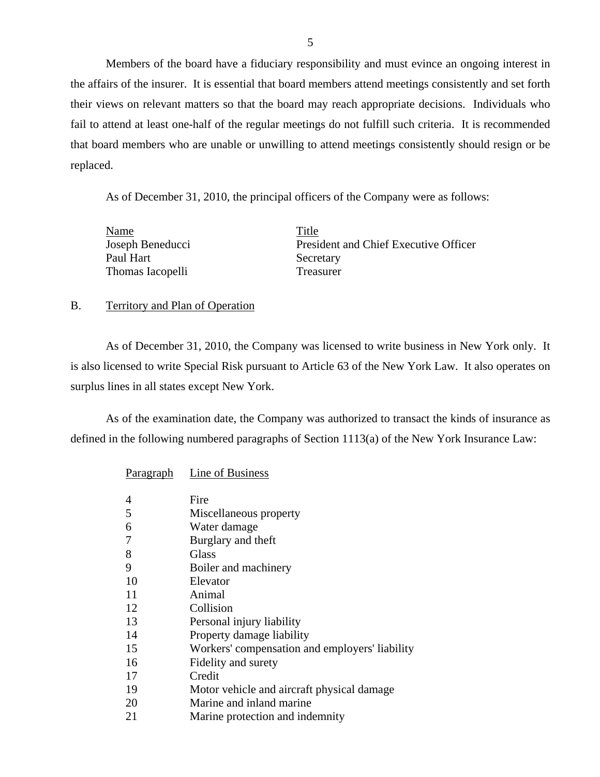Members of the board have a fiduciary responsibility and must evince an ongoing interest in the affairs of the insurer. It is essential that board members attend meetings consistently and set forth their views on relevant matters so that the board may reach appropriate decisions. Individuals who fail to attend at least one-half of the regular meetings do not fulfill such criteria. It is recommended that board members who are unable or unwilling to attend meetings consistently should resign or be replaced.

As of December 31, 2010, the principal officers of the Company were as follows:

| Name             | Title                                 |
|------------------|---------------------------------------|
| Joseph Beneducci | President and Chief Executive Officer |
| Paul Hart        | Secretary                             |
| Thomas Iacopelli | <b>Treasurer</b>                      |

#### B. Territory and Plan of Operation

As of December 31, 2010, the Company was licensed to write business in New York only. It is also licensed to write Special Risk pursuant to Article 63 of the New York Law. It also operates on surplus lines in all states except New York.

As of the examination date, the Company was authorized to transact the kinds of insurance as defined in the following numbered paragraphs of Section 1113(a) of the New York Insurance Law:

| <b>Paragraph</b> | Line of Business                               |
|------------------|------------------------------------------------|
| 4                | Fire                                           |
| 5                | Miscellaneous property                         |
| 6                | Water damage                                   |
| 7                | Burglary and theft                             |
| 8                | Glass                                          |
| 9                | Boiler and machinery                           |
| 10               | Elevator                                       |
| 11               | Animal                                         |
| 12               | Collision                                      |
| 13               | Personal injury liability                      |
| 14               | Property damage liability                      |
| 15               | Workers' compensation and employers' liability |
| 16               | Fidelity and surety                            |
| 17               | Credit                                         |
| 19               | Motor vehicle and aircraft physical damage     |
| 20               | Marine and inland marine                       |
| 21               | Marine protection and indemnity                |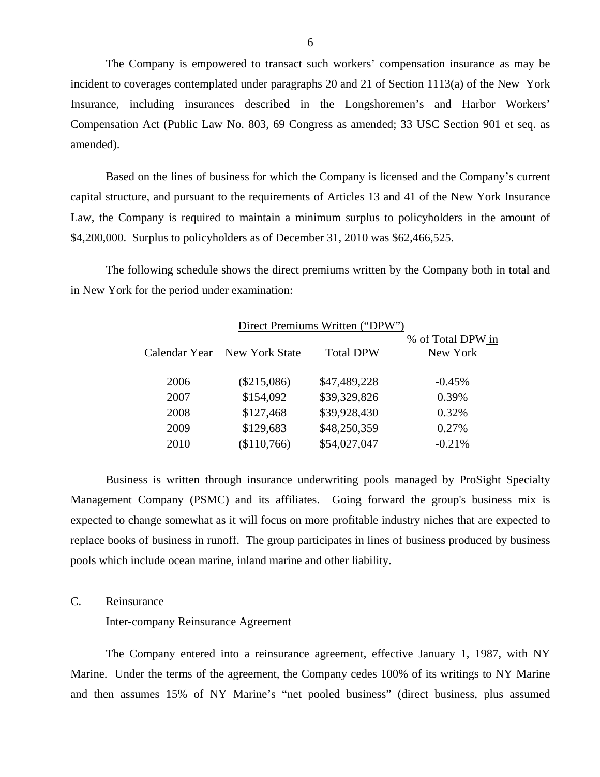The Company is empowered to transact such workers' compensation insurance as may be incident to coverages contemplated under paragraphs 20 and 21 of Section 1113(a) of the New York Insurance, including insurances described in the Longshoremen's and Harbor Workers' Compensation Act (Public Law No. 803, 69 Congress as amended; 33 USC Section 901 et seq. as amended).

Based on the lines of business for which the Company is licensed and the Company's current capital structure, and pursuant to the requirements of Articles 13 and 41 of the New York Insurance Law, the Company is required to maintain a minimum surplus to policyholders in the amount of \$4,200,000. Surplus to policyholders as of December 31, 2010 was \$62,466,525.

The following schedule shows the direct premiums written by the Company both in total and in New York for the period under examination:

| Direct Premiums Written ("DPW") |                              |                  |                               |  |  |
|---------------------------------|------------------------------|------------------|-------------------------------|--|--|
|                                 | Calendar Year New York State | <b>Total DPW</b> | % of Total DPW in<br>New York |  |  |
| 2006                            | $(\$215,086)$                | \$47,489,228     | $-0.45%$                      |  |  |
| 2007                            | \$154,092                    | \$39,329,826     | 0.39%                         |  |  |
| 2008                            | \$127,468                    | \$39,928,430     | 0.32%                         |  |  |
| 2009                            | \$129,683                    | \$48,250,359     | 0.27%                         |  |  |
| 2010                            | \$110,766                    | \$54,027,047     | $-0.21%$                      |  |  |

Business is written through insurance underwriting pools managed by ProSight Specialty Management Company (PSMC) and its affiliates. Going forward the group's business mix is expected to change somewhat as it will focus on more profitable industry niches that are expected to replace books of business in runoff. The group participates in lines of business produced by business pools which include ocean marine, inland marine and other liability.

## C. Reinsurance

#### Inter-company Reinsurance Agreement

The Company entered into a reinsurance agreement, effective January 1, 1987, with NY Marine. Under the terms of the agreement, the Company cedes 100% of its writings to NY Marine and then assumes 15% of NY Marine's "net pooled business" (direct business, plus assumed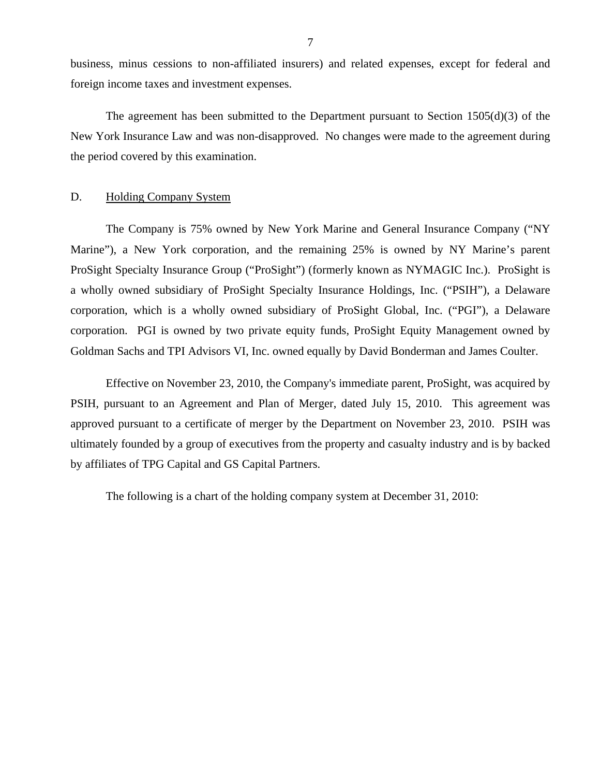<span id="page-8-0"></span>business, minus cessions to non-affiliated insurers) and related expenses, except for federal and foreign income taxes and investment expenses.

The agreement has been submitted to the Department pursuant to Section 1505(d)(3) of the New York Insurance Law and was non-disapproved. No changes were made to the agreement during the period covered by this examination.

#### D. Holding Company System

The Company is 75% owned by New York Marine and General Insurance Company ("NY Marine"), a New York corporation, and the remaining 25% is owned by NY Marine's parent ProSight Specialty Insurance Group ("ProSight") (formerly known as NYMAGIC Inc.). ProSight is a wholly owned subsidiary of ProSight Specialty Insurance Holdings, Inc. ("PSIH"), a Delaware corporation, which is a wholly owned subsidiary of ProSight Global, Inc. ("PGI"), a Delaware corporation. PGI is owned by two private equity funds, ProSight Equity Management owned by Goldman Sachs and TPI Advisors VI, Inc. owned equally by David Bonderman and James Coulter.

Effective on November 23, 2010, the Company's immediate parent, ProSight, was acquired by PSIH, pursuant to an Agreement and Plan of Merger, dated July 15, 2010. This agreement was approved pursuant to a certificate of merger by the Department on November 23, 2010. PSIH was ultimately founded by a group of executives from the property and casualty industry and is by backed by affiliates of TPG Capital and GS Capital Partners.

The following is a chart of the holding company system at December 31, 2010: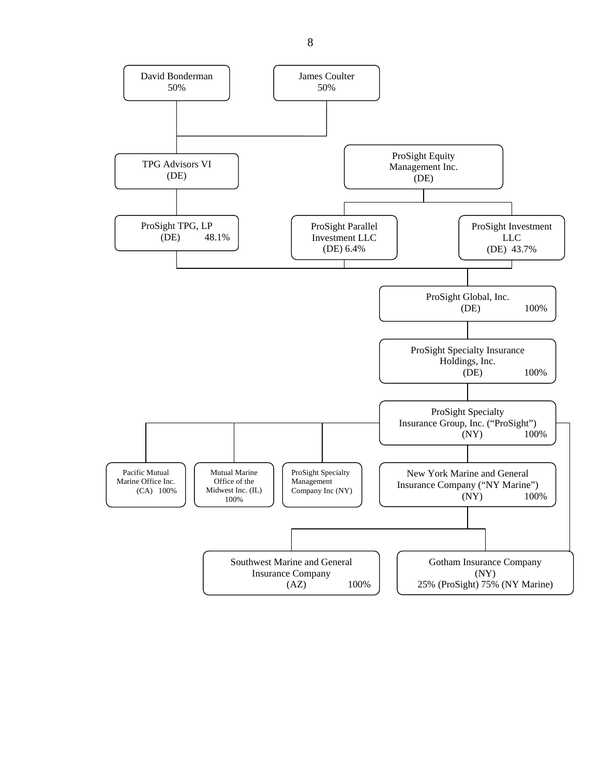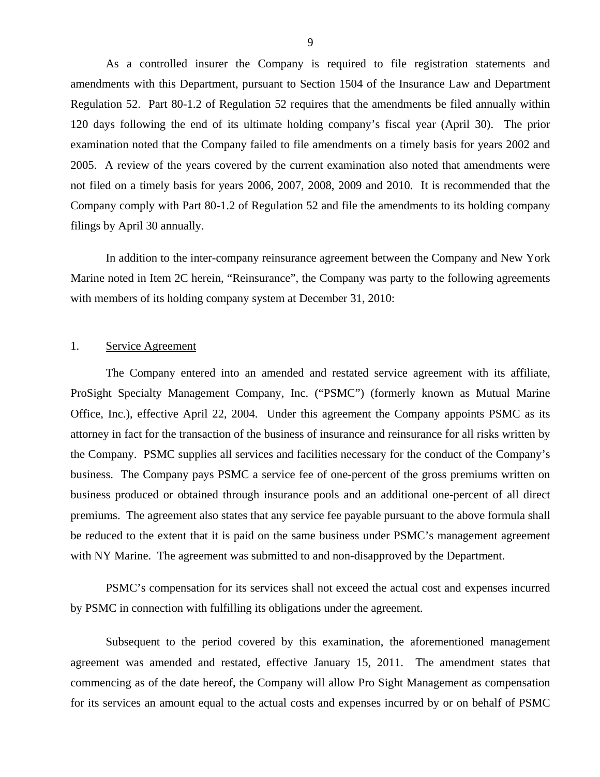As a controlled insurer the Company is required to file registration statements and amendments with this Department, pursuant to Section 1504 of the Insurance Law and Department Regulation 52. Part 80-1.2 of Regulation 52 requires that the amendments be filed annually within 120 days following the end of its ultimate holding company's fiscal year (April 30). The prior examination noted that the Company failed to file amendments on a timely basis for years 2002 and 2005. A review of the years covered by the current examination also noted that amendments were not filed on a timely basis for years 2006, 2007, 2008, 2009 and 2010. It is recommended that the Company comply with Part 80-1.2 of Regulation 52 and file the amendments to its holding company filings by April 30 annually.

In addition to the inter-company reinsurance agreement between the Company and New York Marine noted in Item 2C herein, "Reinsurance", the Company was party to the following agreements with members of its holding company system at December 31, 2010:

#### 1. Service Agreement

The Company entered into an amended and restated service agreement with its affiliate, ProSight Specialty Management Company, Inc. ("PSMC") (formerly known as Mutual Marine Office, Inc.), effective April 22, 2004. Under this agreement the Company appoints PSMC as its attorney in fact for the transaction of the business of insurance and reinsurance for all risks written by the Company. PSMC supplies all services and facilities necessary for the conduct of the Company's business. The Company pays PSMC a service fee of one-percent of the gross premiums written on business produced or obtained through insurance pools and an additional one-percent of all direct premiums. The agreement also states that any service fee payable pursuant to the above formula shall be reduced to the extent that it is paid on the same business under PSMC's management agreement with NY Marine. The agreement was submitted to and non-disapproved by the Department.

PSMC's compensation for its services shall not exceed the actual cost and expenses incurred by PSMC in connection with fulfilling its obligations under the agreement.

Subsequent to the period covered by this examination, the aforementioned management agreement was amended and restated, effective January 15, 2011. The amendment states that commencing as of the date hereof, the Company will allow Pro Sight Management as compensation for its services an amount equal to the actual costs and expenses incurred by or on behalf of PSMC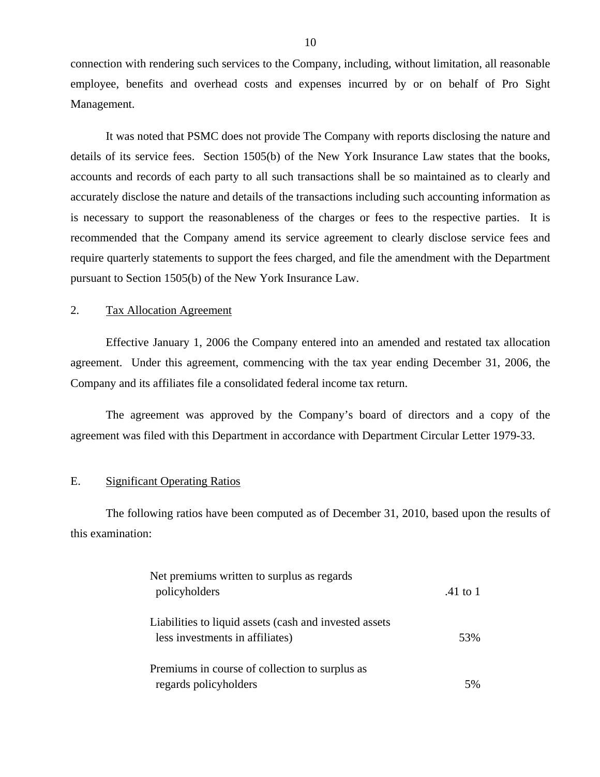connection with rendering such services to the Company, including, without limitation, all reasonable employee, benefits and overhead costs and expenses incurred by or on behalf of Pro Sight Management.

It was noted that PSMC does not provide The Company with reports disclosing the nature and details of its service fees. Section 1505(b) of the New York Insurance Law states that the books, accounts and records of each party to all such transactions shall be so maintained as to clearly and accurately disclose the nature and details of the transactions including such accounting information as is necessary to support the reasonableness of the charges or fees to the respective parties. It is recommended that the Company amend its service agreement to clearly disclose service fees and require quarterly statements to support the fees charged, and file the amendment with the Department pursuant to Section 1505(b) of the New York Insurance Law.

#### 2. Tax Allocation Agreement

Effective January 1, 2006 the Company entered into an amended and restated tax allocation agreement. Under this agreement, commencing with the tax year ending December 31, 2006, the Company and its affiliates file a consolidated federal income tax return.

The agreement was approved by the Company's board of directors and a copy of the agreement was filed with this Department in accordance with Department Circular Letter 1979-33.

#### E. Significant Operating Ratios

The following ratios have been computed as of December 31, 2010, based upon the results of this examination:

| Net premiums written to surplus as regards<br>policyholders                               | .41 to 1 |
|-------------------------------------------------------------------------------------------|----------|
| Liabilities to liquid assets (cash and invested assets<br>less investments in affiliates) | 53%      |
| Premiums in course of collection to surplus as<br>regards policyholders                   |          |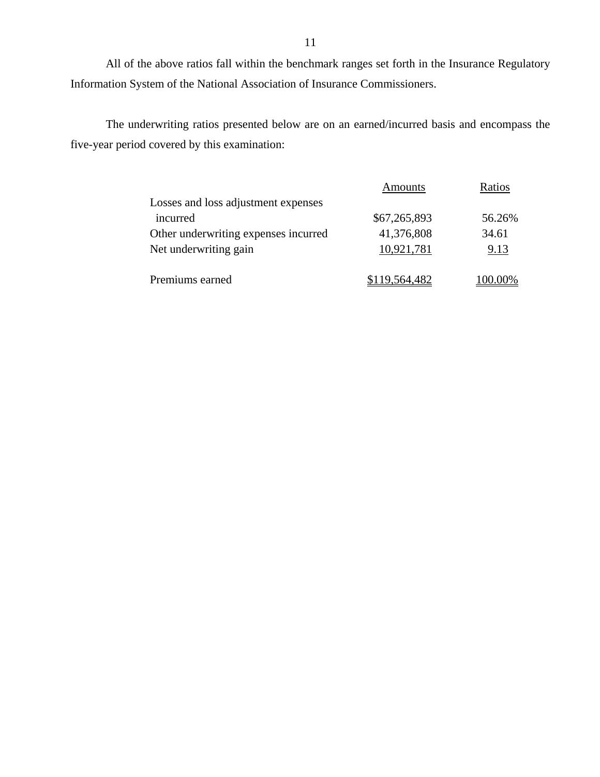All of the above ratios fall within the benchmark ranges set forth in the Insurance Regulatory Information System of the National Association of Insurance Commissioners.

The underwriting ratios presented below are on an earned/incurred basis and encompass the five-year period covered by this examination:

|                                      | Amounts       | Ratios |
|--------------------------------------|---------------|--------|
| Losses and loss adjustment expenses  |               |        |
| incurred                             | \$67,265,893  | 56.26% |
| Other underwriting expenses incurred | 41,376,808    | 34.61  |
| Net underwriting gain                | 10,921,781    | 9.13   |
| Premiums earned                      | \$119,564,482 | 0.00%  |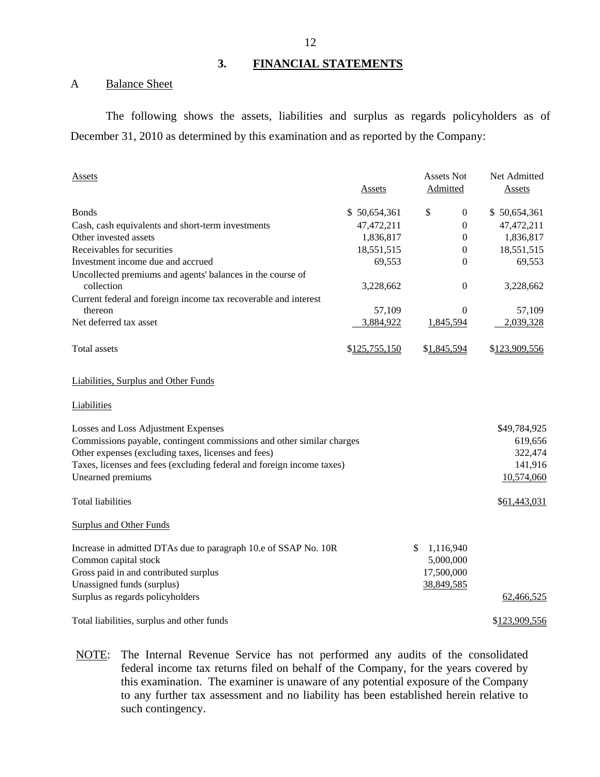## **3. FINANCIAL STATEMENTS**

#### A Balance Sheet

The following shows the assets, liabilities and surplus as regards policyholders as of December 31, 2010 as determined by this examination and as reported by the Company:

| <b>Assets</b>                                                            |               | <b>Assets Not</b> | Net Admitted                     |
|--------------------------------------------------------------------------|---------------|-------------------|----------------------------------|
|                                                                          | <b>Assets</b> | Admitted          | <b>Assets</b>                    |
| <b>Bonds</b>                                                             | \$50,654,361  | \$                | $\boldsymbol{0}$<br>\$50,654,361 |
| Cash, cash equivalents and short-term investments                        | 47,472,211    |                   | $\boldsymbol{0}$<br>47,472,211   |
| Other invested assets                                                    | 1,836,817     |                   | 1,836,817<br>$\mathbf{0}$        |
| Receivables for securities                                               | 18,551,515    |                   | $\boldsymbol{0}$<br>18,551,515   |
| Investment income due and accrued                                        | 69,553        |                   | $\theta$<br>69,553               |
| Uncollected premiums and agents' balances in the course of<br>collection | 3,228,662     |                   | $\boldsymbol{0}$<br>3,228,662    |
| Current federal and foreign income tax recoverable and interest          |               |                   |                                  |
| thereon                                                                  | 57,109        |                   | $\overline{0}$<br>57,109         |
| Net deferred tax asset                                                   | 3,884,922     | 1,845,594         | 2,039,328                        |
| Total assets                                                             | \$125,755,150 | \$1,845,594       | \$123,909,556                    |
| Liabilities, Surplus and Other Funds                                     |               |                   |                                  |
| Liabilities                                                              |               |                   |                                  |
| Losses and Loss Adjustment Expenses                                      |               |                   | \$49,784,925                     |
| Commissions payable, contingent commissions and other similar charges    |               |                   | 619,656                          |
| Other expenses (excluding taxes, licenses and fees)                      |               |                   | 322,474                          |
| Taxes, licenses and fees (excluding federal and foreign income taxes)    |               |                   | 141,916                          |
| Unearned premiums                                                        |               |                   | 10,574,060                       |
| <b>Total liabilities</b>                                                 |               |                   | \$61,443,031                     |
| <b>Surplus and Other Funds</b>                                           |               |                   |                                  |
| Increase in admitted DTAs due to paragraph 10.e of SSAP No. 10R          |               | \$.<br>1,116,940  |                                  |
| Common capital stock                                                     |               | 5,000,000         |                                  |
| Gross paid in and contributed surplus                                    |               | 17,500,000        |                                  |
| Unassigned funds (surplus)                                               |               | 38,849,585        |                                  |
| Surplus as regards policyholders                                         |               |                   | 62,466,525                       |
| Total liabilities, surplus and other funds                               |               |                   | \$123,909,556                    |

NOTE: The Internal Revenue Service has not performed any audits of the consolidated federal income tax returns filed on behalf of the Company, for the years covered by this examination. The examiner is unaware of any potential exposure of the Company to any further tax assessment and no liability has been established herein relative to such contingency.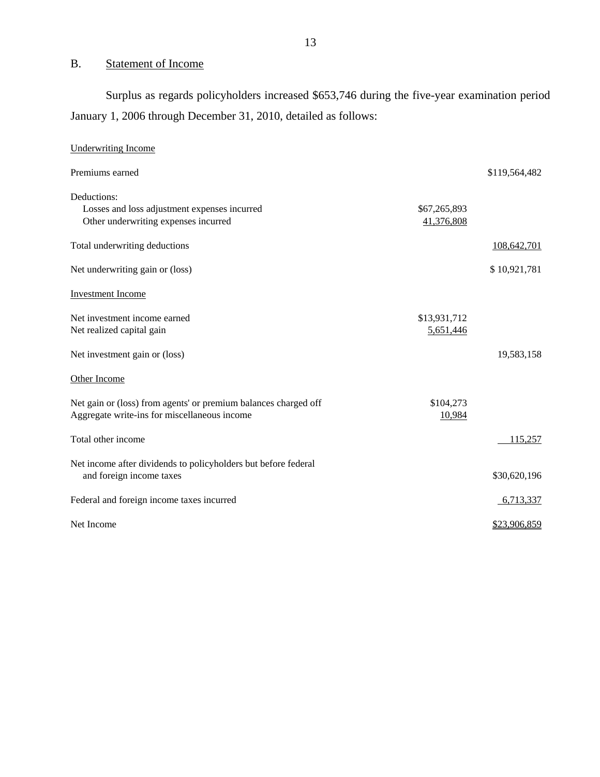# B. Statement of Income

Surplus as regards policyholders increased \$653,746 during the five-year examination period January 1, 2006 through December 31, 2010, detailed as follows:

| <b>Underwriting Income</b>                                                                                      |                            |               |
|-----------------------------------------------------------------------------------------------------------------|----------------------------|---------------|
| Premiums earned                                                                                                 |                            | \$119,564,482 |
| Deductions:<br>Losses and loss adjustment expenses incurred<br>Other underwriting expenses incurred             | \$67,265,893<br>41,376,808 |               |
| Total underwriting deductions                                                                                   |                            | 108,642,701   |
| Net underwriting gain or (loss)                                                                                 |                            | \$10,921,781  |
| <b>Investment Income</b>                                                                                        |                            |               |
| Net investment income earned<br>Net realized capital gain                                                       | \$13,931,712<br>5,651,446  |               |
| Net investment gain or (loss)                                                                                   |                            | 19,583,158    |
| Other Income                                                                                                    |                            |               |
| Net gain or (loss) from agents' or premium balances charged off<br>Aggregate write-ins for miscellaneous income | \$104,273<br>10,984        |               |
| Total other income                                                                                              |                            | 115.257       |
| Net income after dividends to policyholders but before federal<br>and foreign income taxes                      |                            | \$30,620,196  |
| Federal and foreign income taxes incurred                                                                       |                            | 6,713,337     |
| Net Income                                                                                                      |                            | \$23,906,859  |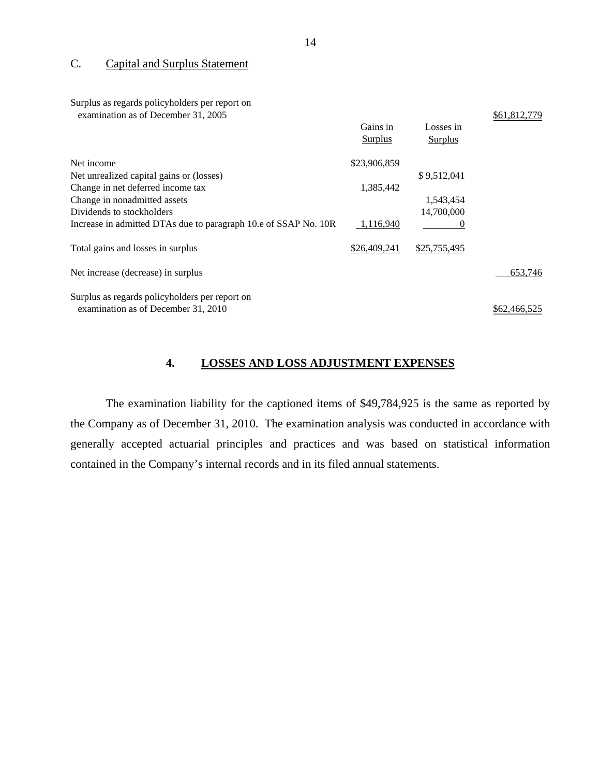#### C. Capital and Surplus Statement

Surplus as regards policyholders per report on amination as of December  $31, 2005$ 

| examination as of December 31, 2003                             |              |              | 01,012,17    |
|-----------------------------------------------------------------|--------------|--------------|--------------|
|                                                                 | Gains in     | Losses in    |              |
|                                                                 | Surplus      | Surplus      |              |
| Net income                                                      | \$23,906,859 |              |              |
| Net unrealized capital gains or (losses)                        |              | \$9,512,041  |              |
| Change in net deferred income tax                               | 1,385,442    |              |              |
| Change in nonadmitted assets                                    |              | 1,543,454    |              |
| Dividends to stockholders                                       |              | 14,700,000   |              |
| Increase in admitted DTAs due to paragraph 10.e of SSAP No. 10R | 1,116,940    | 0            |              |
| Total gains and losses in surplus                               | \$26,409,241 | \$25,755,495 |              |
| Net increase (decrease) in surplus                              |              |              | 653,746      |
| Surplus as regards policyholders per report on                  |              |              |              |
| examination as of December 31, 2010                             |              |              | \$62,466,525 |

## **4. LOSSES AND LOSS ADJUSTMENT EXPENSES**

The examination liability for the captioned items of \$49,784,925 is the same as reported by the Company as of December 31, 2010. The examination analysis was conducted in accordance with generally accepted actuarial principles and practices and was based on statistical information contained in the Company's internal records and in its filed annual statements.

 $0.61,012,770$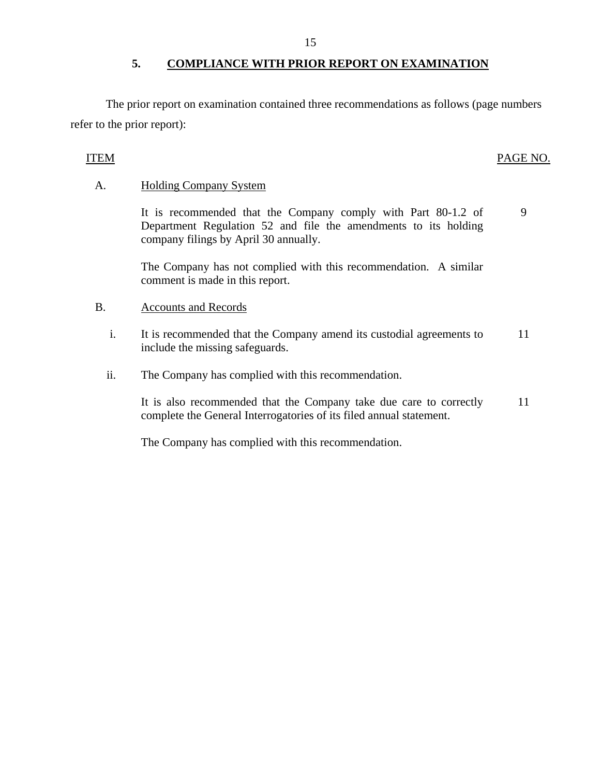#### **5. COMPLIANCE WITH PRIOR REPORT ON EXAMINATION**

The prior report on examination contained three recommendations as follows (page numbers refer to the prior report):

## ITEM PAGE NO.

9

## A. Holding Company System

It is recommended that the Company comply with Part 80-1.2 of Department Regulation 52 and file the amendments to its holding company filings by April 30 annually.

The Company has not complied with this recommendation. A similar comment is made in this report.

#### B. Accounts and Records

- i. It is recommended that the Company amend its custodial agreements to include the missing safeguards. 11
- ii. The Company has complied with this recommendation.

It is also recommended that the Company take due care to correctly complete the General Interrogatories of its filed annual statement. 11

The Company has complied with this recommendation.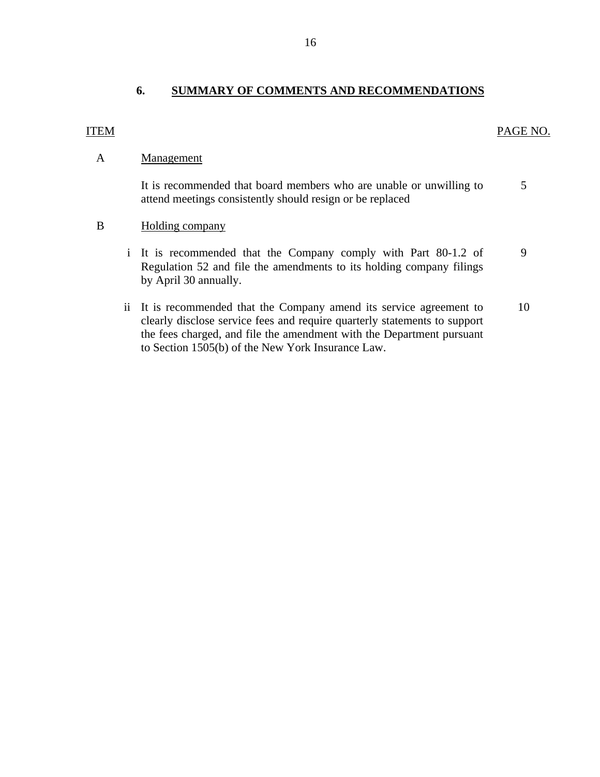# **6. SUMMARY OF COMMENTS AND RECOMMENDATIONS**

#### <span id="page-17-0"></span>ITEM

#### PAGE NO.

#### A Management

It is recommended that board members who are unable or unwilling to attend meetings consistently should resign or be replaced 5

#### B Holding company

- i It is recommended that the Company comply with Part 80-1.2 of Regulation 52 and file the amendments to its holding company filings by April 30 annually. 9
- ii It is recommended that the Company amend its service agreement to clearly disclose service fees and require quarterly statements to support the fees charged, and file the amendment with the Department pursuant to Section 1505(b) of the New York Insurance Law. 10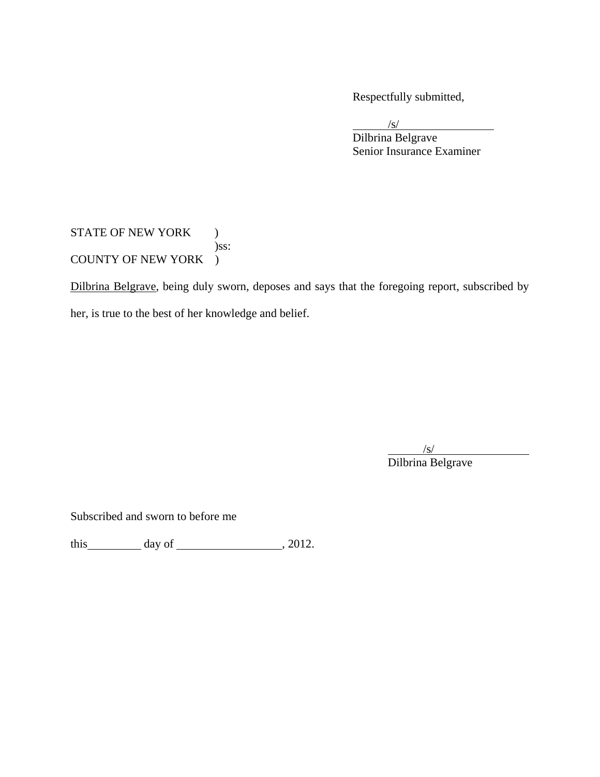Respectfully submitted,

 $\sqrt{s}$  Dilbrina Belgrave Senior Insurance Examiner

STATE OF NEW YORK ) )ss: COUNTY OF NEW YORK )

Dilbrina Belgrave, being duly sworn, deposes and says that the foregoing report, subscribed by her, is true to the best of her knowledge and belief.

 $\sqrt{s}$ Dilbrina Belgrave

Subscribed and sworn to before me

this  $\qquad \qquad$  day of  $\qquad \qquad$  , 2012.